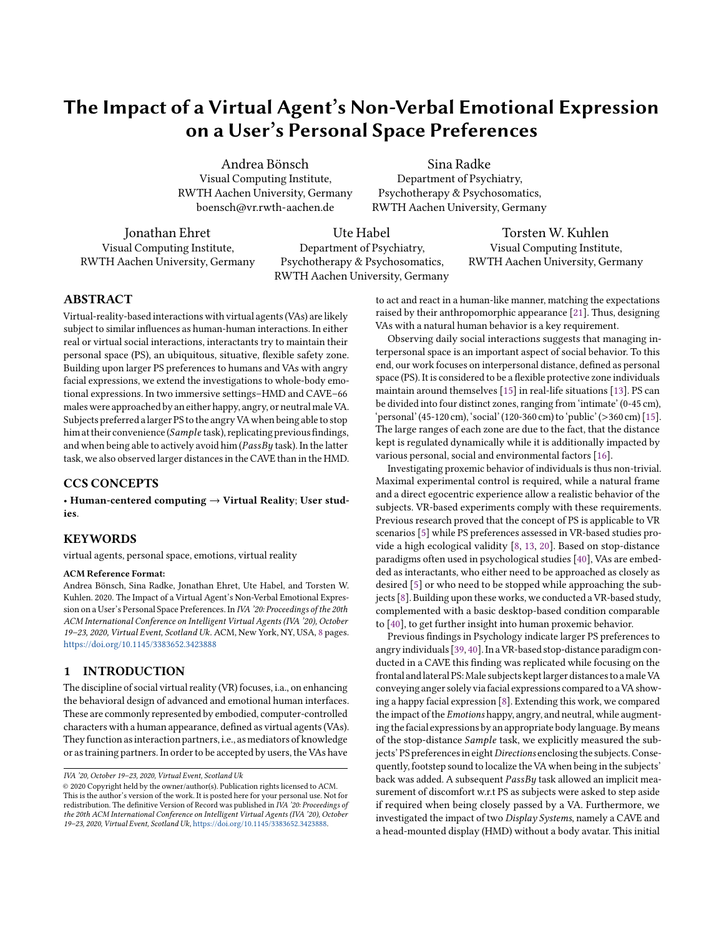# The Impact of a Virtual Agent's Non-Verbal Emotional Expression on a User's Personal Space Preferences

Andrea Bönsch Visual Computing Institute, RWTH Aachen University, Germany boensch@vr.rwth-aachen.de

Sina Radke Department of Psychiatry, Psychotherapy & Psychosomatics, RWTH Aachen University, Germany

Jonathan Ehret Visual Computing Institute, RWTH Aachen University, Germany

Ute Habel Department of Psychiatry, Psychotherapy & Psychosomatics, RWTH Aachen University, Germany

Torsten W. Kuhlen Visual Computing Institute, RWTH Aachen University, Germany

# ABSTRACT

Virtual-reality-based interactions with virtual agents (VAs) are likely subject to similar influences as human-human interactions. In either real or virtual social interactions, interactants try to maintain their personal space (PS), an ubiquitous, situative, flexible safety zone. Building upon larger PS preferences to humans and VAs with angry facial expressions, we extend the investigations to whole-body emotional expressions. In two immersive settings–HMD and CAVE–66 males were approached by an either happy, angry, or neutral male VA. Subjects preferred a larger PS to the angry VA when being able to stop him at their convenience (Sample task), replicating previous findings, and when being able to actively avoid him ( $PassBy$  task). In the latter task, we also observed larger distances in the CAVE than in the HMD.

# CCS CONCEPTS

• Human-centered computing → Virtual Reality; User studies.

## **KEYWORDS**

virtual agents, personal space, emotions, virtual reality

#### ACM Reference Format:

Andrea Bönsch, Sina Radke, Jonathan Ehret, Ute Habel, and Torsten W. Kuhlen. 2020. The Impact of a Virtual Agent's Non-Verbal Emotional Expression on a User's Personal Space Preferences. In IVA '20: Proceedings of the 20th ACM International Conference on Intelligent Virtual Agents (IVA '20), October 19–23, 2020, Virtual Event, Scotland Uk. ACM, New York, NY, USA, [8](#page-7-0) pages. <https://doi.org/10.1145/3383652.3423888>

## 1 INTRODUCTION

The discipline of social virtual reality (VR) focuses, i.a., on enhancing the behavioral design of advanced and emotional human interfaces. These are commonly represented by embodied, computer-controlled characters with a human appearance, defined as virtual agents (VAs). They function as interaction partners, i.e., as mediators of knowledge or as training partners. In order to be accepted by users, theVAs have

to act and react in a human-like manner, matching the expectations raised by their anthropomorphic appearance [\[21\]](#page-7-1). Thus, designing VAs with a natural human behavior is a key requirement.

Observing daily social interactions suggests that managing interpersonal space is an important aspect of social behavior. To this end, our work focuses on interpersonal distance, defined as personal space (PS). It is considered to be a flexible protective zone individuals maintain around themselves [\[15\]](#page-7-2) in real-life situations [\[13\]](#page-7-3). PS can be divided into four distinct zones, ranging from 'intimate' (0-45 cm), 'personal'(45-120 cm), 'social'(120-360 cm) to 'public'(>360 cm) [\[15\]](#page-7-2). The large ranges of each zone are due to the fact, that the distance kept is regulated dynamically while it is additionally impacted by various personal, social and environmental factors [\[16\]](#page-7-4).

Investigating proxemic behavior of individuals is thus non-trivial. Maximal experimental control is required, while a natural frame and a direct egocentric experience allow a realistic behavior of the subjects. VR-based experiments comply with these requirements. Previous research proved that the concept of PS is applicable to VR scenarios [\[5\]](#page-7-5) while PS preferences assessed in VR-based studies provide a high ecological validity [\[8,](#page-7-6) [13,](#page-7-3) [20\]](#page-7-7). Based on stop-distance paradigms often used in psychological studies [\[40\]](#page-7-8), VAs are embedded as interactants, who either need to be approached as closely as desired [\[5\]](#page-7-5) or who need to be stopped while approaching the subjects [\[8\]](#page-7-6). Building upon these works, we conducted a VR-based study, complemented with a basic desktop-based condition comparable to [\[40\]](#page-7-8), to get further insight into human proxemic behavior.

Previous findings in Psychology indicate larger PS preferences to angry individuals [\[39,](#page-7-9) [40\]](#page-7-8).In a VR-based stop-distance paradigm conducted in a CAVE this finding was replicated while focusing on the frontal andlateral PS:Male subjects keptlarger distances to amale VA conveying anger solely via facial expressions compared to a VA showing a happy facial expression [\[8\]](#page-7-6). Extending this work, we compared the impact of the Emotions happy, angry, and neutral, while augmenting the facial expressions by an appropriate body language. By means of the stop-distance Sample task, we explicitly measured the subjects' PS preferences in eight Directions enclosing the subjects. Consequently, footstep sound to localize the VA when being in the subjects' back was added. A subsequent  $PassBy$  task allowed an implicit measurement of discomfort w.r.t PS as subjects were asked to step aside if required when being closely passed by a VA. Furthermore, we investigated the impact of two Display Systems, namely a CAVE and a head-mounted display (HMD) without a body avatar. This initial

IVA '20, October 19–23, 2020, Virtual Event, Scotland Uk

<sup>©</sup> 2020 Copyright held by the owner/author(s). Publication rights licensed to ACM. This is the author's version of the work. It is posted here for your personal use. Not for redistribution. The definitive Version of Record was published in  $\overline{I}VA$  '20: Proceedings of the 20th ACM International Conference on Intelligent Virtual Agents (IVA '20), October 19–23, 2020, Virtual Event, Scotland Uk, [https://doi.org/10.1145/3383652.3423888.](https://doi.org/10.1145/3383652.3423888)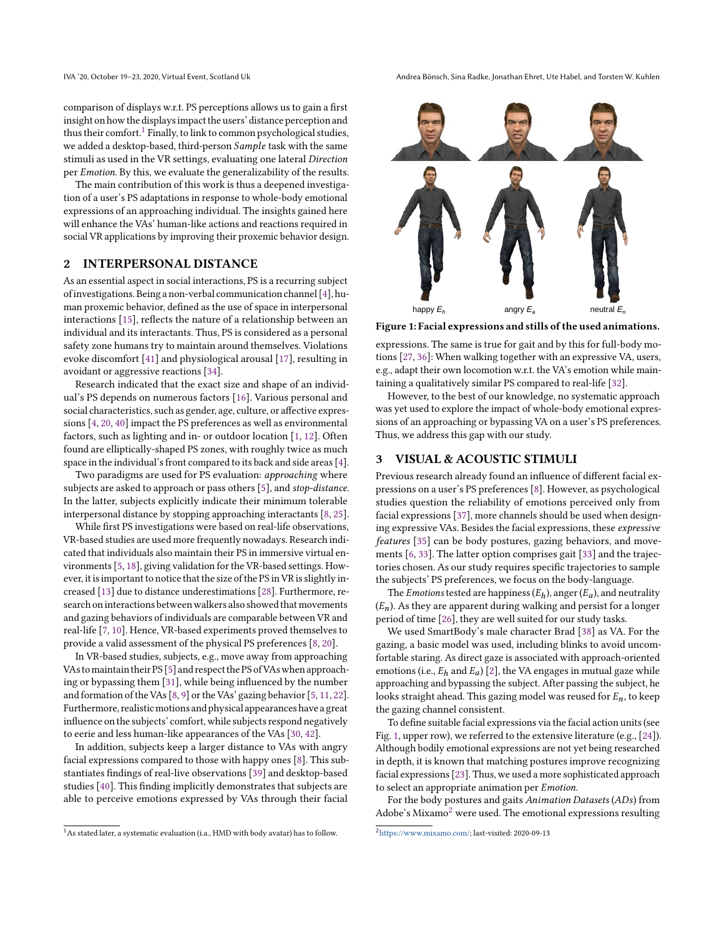IVA '20, October 19-23, 2020, Virtual Event, Scotland Uk Andrea Bönsch, Sina Radke, Jonathan Ehret, Ute Habel, and Torsten W. Kuhlen

comparison of displays w.r.t. PS perceptions allows us to gain a first insight on how the displays impact the users' distance perception and thus their comfort.<sup>[1](#page-1-0)</sup> Finally, to link to common psychological studies, we added a desktop-based, third-person Sample task with the same stimuli as used in the VR settings, evaluating one lateral Direction per Emotion. By this, we evaluate the generalizability of the results.

The main contribution of this work is thus a deepened investigation of a user's PS adaptations in response to whole-body emotional expressions of an approaching individual. The insights gained here will enhance the VAs' human-like actions and reactions required in social VR applications by improving their proxemic behavior design.

# 2 INTERPERSONAL DISTANCE

As an essential aspect in social interactions, PS is a recurring subject of investigations. Being a non-verbal communication channel [\[4\]](#page-7-10), human proxemic behavior, defined as the use of space in interpersonal interactions [\[15\]](#page-7-2), reflects the nature of a relationship between an individual and its interactants. Thus, PS is considered as a personal safety zone humans try to maintain around themselves. Violations evoke discomfort [\[41\]](#page-7-11) and physiological arousal [\[17\]](#page-7-12), resulting in avoidant or aggressive reactions [\[34\]](#page-7-13).

Research indicated that the exact size and shape of an individual's PS depends on numerous factors [\[16\]](#page-7-4). Various personal and social characteristics, such as gender, age, culture, or affective expressions [\[4,](#page-7-10) [20,](#page-7-7) [40\]](#page-7-8) impact the PS preferences as well as environmental factors, such as lighting and in- or outdoor location [\[1,](#page-7-14) [12\]](#page-7-15). Often found are elliptically-shaped PS zones, with roughly twice as much space in the individual's front compared to its back and side areas [\[4\]](#page-7-10).

Two paradigms are used for PS evaluation: approaching where subjects are asked to approach or pass others [\[5\]](#page-7-5), and stop-distance. In the latter, subjects explicitly indicate their minimum tolerable interpersonal distance by stopping approaching interactants [\[8,](#page-7-6) [25\]](#page-7-16).

While first PS investigations were based on real-life observations, VR-based studies are used more frequently nowadays. Research indicated that individuals also maintain their PS in immersive virtual environments [\[5,](#page-7-5) [18\]](#page-7-17), giving validation for the VR-based settings. However, it is important to notice that the size of the PS in VR is slightly increased [\[13\]](#page-7-3) due to distance underestimations [\[28\]](#page-7-18). Furthermore, research on interactions between walkers also showed that movements and gazing behaviors of individuals are comparable between VR and real-life [\[7,](#page-7-19) [10\]](#page-7-20). Hence, VR-based experiments proved themselves to provide a valid assessment of the physical PS preferences [\[8,](#page-7-6) [20\]](#page-7-7).

In VR-based studies, subjects, e.g., move away from approaching VAs tomaintain their PS [\[5\]](#page-7-5) and respect the PS ofVAs when approaching or bypassing them [\[31\]](#page-7-21), while being influenced by the number and formation of the VAs [\[8,](#page-7-6) [9\]](#page-7-22) or the VAs' gazing behavior [\[5,](#page-7-5) [11,](#page-7-23) [22\]](#page-7-24). Furthermore, realistic motions and physical appearances have a great influence on the subjects' comfort, while subjects respond negatively to eerie and less human-like appearances of the VAs [\[30,](#page-7-25) [42\]](#page-7-26).

In addition, subjects keep a larger distance to VAs with angry facial expressions compared to those with happy ones [\[8\]](#page-7-6). This substantiates findings of real-live observations [\[39\]](#page-7-9) and desktop-based studies [\[40\]](#page-7-8). This finding implicitly demonstrates that subjects are able to perceive emotions expressed by VAs through their facial

<span id="page-1-0"></span>

<span id="page-1-1"></span>

Figure 1: Facial expressions and stills of the used animations.

expressions. The same is true for gait and by this for full-body motions [\[27,](#page-7-27) [36\]](#page-7-28): When walking together with an expressive VA, users, e.g., adapt their own locomotion w.r.t. the VA's emotion while maintaining a qualitatively similar PS compared to real-life [\[32\]](#page-7-29).

However, to the best of our knowledge, no systematic approach was yet used to explore the impact of whole-body emotional expressions of an approaching or bypassing VA on a user's PS preferences. Thus, we address this gap with our study.

#### 3 VISUAL & ACOUSTIC STIMULI

Previous research already found an influence of different facial expressions on a user's PS preferences [\[8\]](#page-7-6). However, as psychological studies question the reliability of emotions perceived only from facial expressions [\[37\]](#page-7-30), more channels should be used when designing expressive VAs. Besides the facial expressions, these expressive features [\[35\]](#page-7-31) can be body postures, gazing behaviors, and movements [\[6,](#page-7-32) [33\]](#page-7-33). The latter option comprises gait [\[33\]](#page-7-33) and the trajectories chosen. As our study requires specific trajectories to sample the subjects' PS preferences, we focus on the body-language.

The *Emotions* tested are happiness  $(E_h)$ , anger  $(E_a)$ , and neutrality  $(E_n)$ . As they are apparent during walking and persist for a longer period of time [\[26\]](#page-7-34), they are well suited for our study tasks.

We used SmartBody's male character Brad [\[38\]](#page-7-35) as VA. For the gazing, a basic model was used, including blinks to avoid uncomfortable staring. As direct gaze is associated with approach-oriented emotions (i.e.,  $E_h$  and  $E_a$ ) [\[2\]](#page-7-36), the VA engages in mutual gaze while approaching and bypassing the subject. After passing the subject, he looks straight ahead. This gazing model was reused for  $E_n$ , to keep the gazing channel consistent.

To define suitable facial expressions via the facial action units (see Fig. [1,](#page-1-1) upper row), we referred to the extensive literature (e.g., [\[24\]](#page-7-37)). Although bodily emotional expressions are not yet being researched in depth, it is known that matching postures improve recognizing facial expressions [\[23\]](#page-7-38). Thus, we used a more sophisticated approach to select an appropriate animation per Emotion.

For the body postures and gaits Animation Datasets (ADs) from Adobe's Mixamo<sup>[2](#page-1-2)</sup> were used. The emotional expressions resulting

<span id="page-1-2"></span><sup>2</sup>[https://www.mixamo.com/;](https://www.mixamo.com/) last-visited: 2020-09-13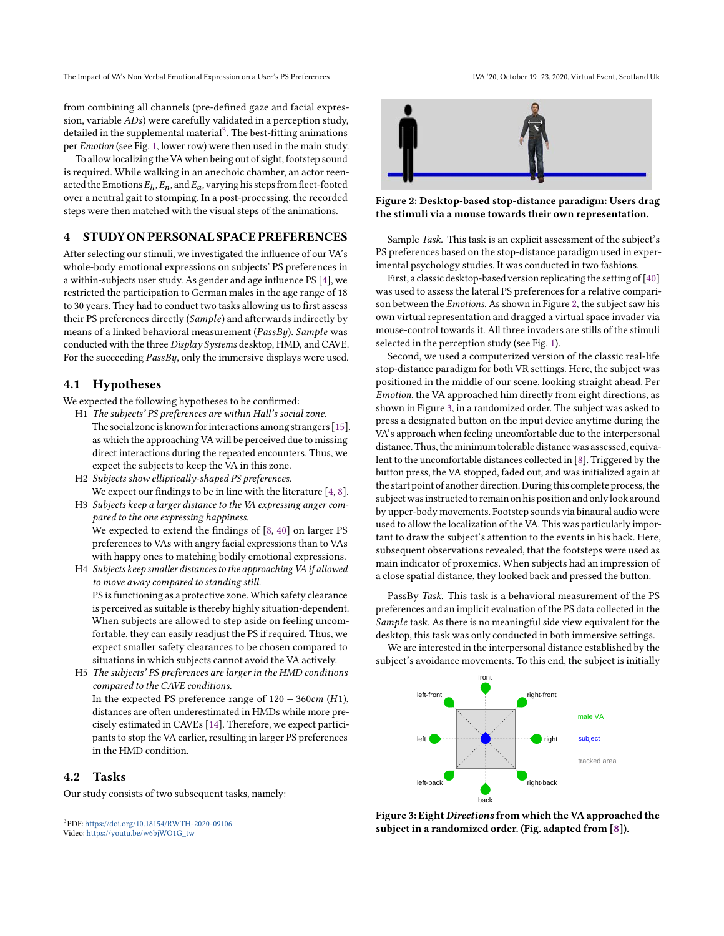The Impact of VA's Non-Verbal Emotional Expression on a User's PS Preferences IVA '20, October 19-23, 2020, Virtual Event, Scotland Uk

from combining all channels (pre-defined gaze and facial expression, variable ADs) were carefully validated in a perception study, detailed in the supplemental material $^3$  $^3$ . The best-fitting animations per Emotion (see Fig. [1,](#page-1-1) lower row) were then used in the main study.

To allow localizing the VA when being out of sight, footstep sound is required. While walking in an anechoic chamber, an actor reenacted the Emotions  $E_h$ ,  $E_n$ , and  $E_a$ , varying his steps from fleet-footed over a neutral gait to stomping. In a post-processing, the recorded steps were then matched with the visual steps of the animations.

#### 4 STUDY ON PERSONAL SPACE PREFERENCES

After selecting our stimuli, we investigated the influence of our VA's whole-body emotional expressions on subjects' PS preferences in a within-subjects user study. As gender and age influence PS [\[4\]](#page-7-10), we restricted the participation to German males in the age range of 18 to 30 years. They had to conduct two tasks allowing us to first assess their PS preferences directly (Sample) and afterwards indirectly by means of a linked behavioral measurement ( $PassBy$ ).  $Sample$  was conducted with the three Display Systems desktop, HMD, and CAVE. For the succeeding  $PassBy$ , only the immersive displays were used.

#### 4.1 Hypotheses

We expected the following hypotheses to be confirmed:

- H1 The subjects' PS preferences are within Hall's social zone. The social zone is known for interactions among strangers [\[15\]](#page-7-2), as which the approaching VA will be perceived due to missing direct interactions during the repeated encounters. Thus, we expect the subjects to keep the VA in this zone.
- H2 Subjects show elliptically-shaped PS preferences. We expect our findings to be in line with the literature [\[4,](#page-7-10) [8\]](#page-7-6).
- H3 Subjects keep a larger distance to the VA expressing anger compared to the one expressing happiness. We expected to extend the findings of [\[8,](#page-7-6) [40\]](#page-7-8) on larger PS preferences to VAs with angry facial expressions than to VAs with happy ones to matching bodily emotional expressions.
- H4 Subjects keep smaller distances to the approaching VA if allowed to move away compared to standing still. PS is functioning as a protective zone. Which safety clearance is perceived as suitable is thereby highly situation-dependent. When subjects are allowed to step aside on feeling uncomfortable, they can easily readjust the PS if required. Thus, we expect smaller safety clearances to be chosen compared to situations in which subjects cannot avoid the VA actively.
- H5 The subjects' PS preferences are larger in the HMD conditions compared to the CAVE conditions. In the expected PS preference range of  $120 - 360 \text{cm}$  (H1), distances are often underestimated in HMDs while more precisely estimated in CAVEs [\[14\]](#page-7-39). Therefore, we expect participants to stop the VA earlier, resulting in larger PS preferences in the HMD condition.

#### 4.2 Tasks

Our study consists of two subsequent tasks, namely:

<span id="page-2-1"></span>

Figure 2: Desktop-based stop-distance paradigm: Users drag the stimuli via a mouse towards their own representation.

Sample Task. This task is an explicit assessment of the subject's PS preferences based on the stop-distance paradigm used in experimental psychology studies. It was conducted in two fashions.

First, a classic desktop-based version replicating the setting of [\[40\]](#page-7-8) was used to assess the lateral PS preferences for a relative comparison between the Emotions. As shown in Figure [2,](#page-2-1) the subject saw his own virtual representation and dragged a virtual space invader via mouse-control towards it. All three invaders are stills of the stimuli selected in the perception study (see Fig. [1\)](#page-1-1).

Second, we used a computerized version of the classic real-life stop-distance paradigm for both VR settings. Here, the subject was positioned in the middle of our scene, looking straight ahead. Per Emotion, the VA approached him directly from eight directions, as shown in Figure [3,](#page-2-2) in a randomized order. The subject was asked to press a designated button on the input device anytime during the VA's approach when feeling uncomfortable due to the interpersonal distance. Thus, the minimum tolerable distance was assessed, equivalent to the uncomfortable distances collected in [\[8\]](#page-7-6). Triggered by the button press, the VA stopped, faded out, and was initialized again at the start point of another direction. During this complete process, the subject was instructed to remain on his position and only look around by upper-body movements. Footstep sounds via binaural audio were used to allow the localization of the VA. This was particularly important to draw the subject's attention to the events in his back. Here, subsequent observations revealed, that the footsteps were used as main indicator of proxemics. When subjects had an impression of a close spatial distance, they looked back and pressed the button.

<span id="page-2-3"></span>PassBy Task. This task is a behavioral measurement of the PS preferences and an implicit evaluation of the PS data collected in the Sample task. As there is no meaningful side view equivalent for the desktop, this task was only conducted in both immersive settings.

We are interested in the interpersonal distance established by the subject's avoidance movements. To this end, the subject is initially

<span id="page-2-2"></span>

Figure 3: Eight Directions from which the VA approached the subject in a randomized order. (Fig. adapted from [\[8\]](#page-7-6)).

<span id="page-2-0"></span><sup>3</sup>PDF: <https://doi.org/10.18154/RWTH-2020-09106>

Video: [https://youtu.be/w6bjWO1G\\_tw](https://youtu.be/w6bjWO1G_tw)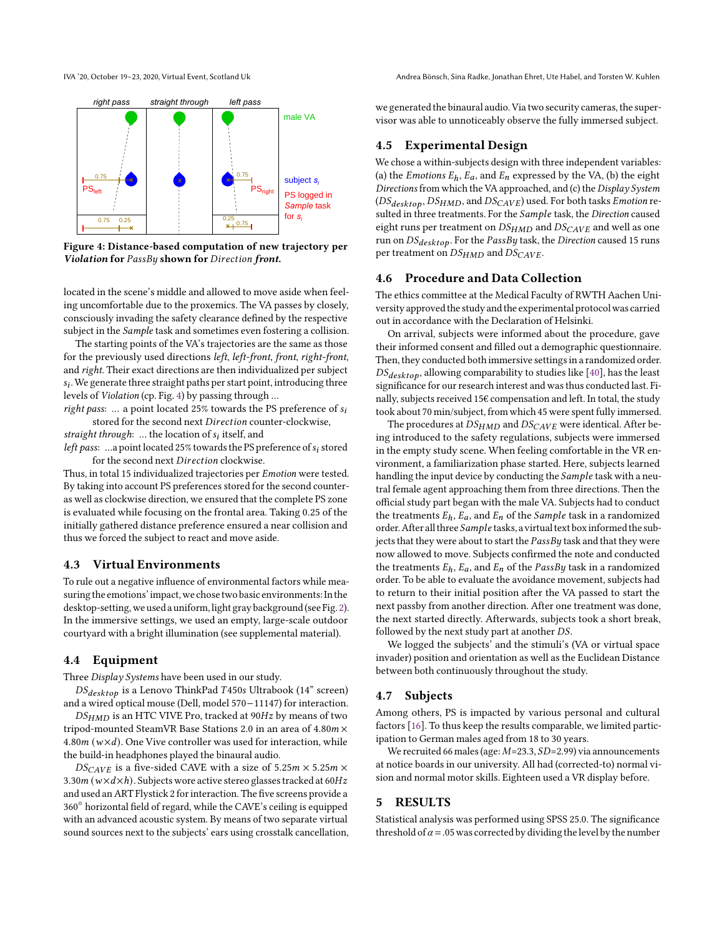IVA '20, October 19-23, 2020, Virtual Event, Scotland Uk Andrea Bönsch, Sina Radke, Jonathan Ehret, Ute Habel, and Torsten W. Kuhlen

<span id="page-3-0"></span>

Figure 4: Distance-based computation of new trajectory per Violation for PassBy shown for Direction front.

located in the scene's middle and allowed to move aside when feeling uncomfortable due to the proxemics. The VA passes by closely, consciously invading the safety clearance defined by the respective subject in the *Sample* task and sometimes even fostering a collision.

The starting points of the VA's trajectories are the same as those for the previously used directions left, left-front, front, right-front, and right. Their exact directions are then individualized per subject  $s_i$ . We generate three straight paths per start point, introducing three levels of Violation (cp. Fig. [4\)](#page-3-0) by passing through ...

right pass: ... a point located 25% towards the PS preference of  $s_i$ stored for the second next Direction counter-clockwise,

straight through: ... the location of  $s_i$  itself, and left pass: ...a point located 25% towards the PS preference of  $s_i$  stored

for the second next Direction clockwise.

Thus, in total 15 individualized trajectories per Emotion were tested. By taking into account PS preferences stored for the second counteras well as clockwise direction, we ensured that the complete PS zone is evaluated while focusing on the frontal area. Taking 0.25 of the initially gathered distance preference ensured a near collision and thus we forced the subject to react and move aside.

## 4.3 Virtual Environments

To rule out a negative influence of environmental factors while measuring the emotions' impact, we chose two basic environments: In the desktop-setting, we used a uniform, light gray background (see Fig. [2\)](#page-2-1). In the immersive settings, we used an empty, large-scale outdoor courtyard with a bright illumination (see supplemental material).

## 4.4 Equipment

Three Display Systems have been used in our study.

 $DS_{\text{desttop}}$  is a Lenovo ThinkPad T450s Ultrabook (14" screen) and a wired optical mouse (Dell, model 570−11147) for interaction.

 $DS<sub>HMD</sub>$  is an HTC VIVE Pro, tracked at 90Hz by means of two tripod-mounted SteamVR Base Stations 2.0 in an area of  $4.80m \times$ 4.80 $m(w \times d)$ . One Vive controller was used for interaction, while the build-in headphones played the binaural audio.

 $DS_{CAVE}$  is a five-sided CAVE with a size of 5.25m  $\times$  5.25m  $\times$ 3.30 $m(w \times d \times h)$ . Subjects wore active stereo glasses tracked at 60Hz and used an ART Flystick 2 for interaction. The five screens provide a 360◦ horizontal field of regard, while the CAVE's ceiling is equipped with an advanced acoustic system. By means of two separate virtual sound sources next to the subjects' ears using crosstalk cancellation, we generated the binaural audio. Via two security cameras, the supervisor was able to unnoticeably observe the fully immersed subject.

## 4.5 Experimental Design

We chose a within-subjects design with three independent variables: (a) the *Emotions*  $E_h$ ,  $E_a$ , and  $E_n$  expressed by the VA, (b) the eight Directions from which the VA approached, and (c) the Display System  $(DS_{\text{desttop}}, DS_{\text{HMD}})$ , and  $DS_{\text{CAVE}}$ ) used. For both tasks Emotion resulted in three treatments. For the Sample task, the Direction caused eight runs per treatment on  $DS_{HMD}$  and  $DS_{CAVE}$  and well as one run on  $DS_{desttop}$ . For the PassBy task, the Direction caused 15 runs per treatment on  $DS_{HMD}$  and  $DS_{CAVE}$ .

#### 4.6 Procedure and Data Collection

The ethics committee at the Medical Faculty of RWTH Aachen University approved the study and the experimental protocol was carried out in accordance with the Declaration of Helsinki.

On arrival, subjects were informed about the procedure, gave their informed consent and filled out a demographic questionnaire. Then, they conducted both immersive settings in a randomized order.  $DS_{desktop}$ , allowing comparability to studies like [\[40\]](#page-7-8), has the least significance for our research interest and was thus conducted last. Finally, subjects received 15€ compensation and left. In total, the study took about 70 min/subject, from which 45 were spent fully immersed.

The procedures at  $DS_{HMD}$  and  $DS_{CAVE}$  were identical. After being introduced to the safety regulations, subjects were immersed in the empty study scene. When feeling comfortable in the VR environment, a familiarization phase started. Here, subjects learned handling the input device by conducting the *Sample* task with a neutral female agent approaching them from three directions. Then the official study part began with the male VA. Subjects had to conduct the treatments  $E_h$ ,  $E_a$ , and  $E_n$  of the *Sample* task in a randomized order. After all three Sample tasks, a virtual text box informed the subjects that they were about to start the  $PassBy$  task and that they were now allowed to move. Subjects confirmed the note and conducted the treatments  $E_h$ ,  $E_a$ , and  $E_n$  of the PassBy task in a randomized order. To be able to evaluate the avoidance movement, subjects had to return to their initial position after the VA passed to start the next passby from another direction. After one treatment was done, the next started directly. Afterwards, subjects took a short break, followed by the next study part at another  $DS$ .

We logged the subjects' and the stimuli's (VA or virtual space invader) position and orientation as well as the Euclidean Distance between both continuously throughout the study.

#### 4.7 Subjects

Among others, PS is impacted by various personal and cultural factors [\[16\]](#page-7-4). To thus keep the results comparable, we limited participation to German males aged from 18 to 30 years.

We recruited 66 males (age:  $M=23.3$ ,  $SD=2.99$ ) via announcements at notice boards in our university. All had (corrected-to) normal vision and normal motor skills. Eighteen used a VR display before.

## 5 RESULTS

Statistical analysis was performed using SPSS 25.0. The significance threshold of  $\alpha$  = .05 was corrected by dividing the level by the number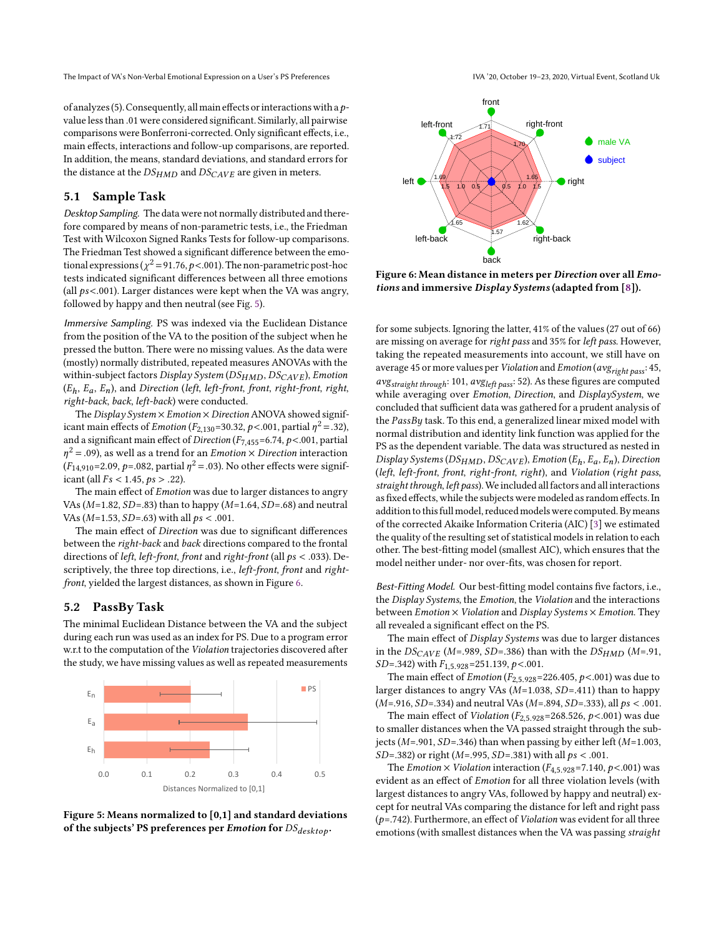The Impact of VA's Non-Verbal Emotional Expression on a User's PS Preferences IVA '20, October 19-23, 2020, Virtual Event, Scotland Uk

of analyzes (5). Consequently, all main effects or interactions with a  $p$ value less than .01 were considered significant. Similarly, all pairwise comparisons were Bonferroni-corrected. Only significant effects, i.e., main effects, interactions and follow-up comparisons, are reported. In addition, the means, standard deviations, and standard errors for the distance at the  $DS_{HMD}$  and  $DS_{CAVE}$  are given in meters.

## 5.1 Sample Task

Desktop Sampling. The data were not normally distributed and therefore compared by means of non-parametric tests, i.e., the Friedman Test with Wilcoxon Signed Ranks Tests for follow-up comparisons. The Friedman Test showed a significant difference between the emotional expressions ( $\chi^2$  = 91.76,  $\bar{p}$  <.001). The non-parametric post-hoc tests indicated significant differences between all three emotions (all  $ps < .001$ ). Larger distances were kept when the VA was angry, followed by happy and then neutral (see Fig. [5\)](#page-4-0).

Immersive Sampling. PS was indexed via the Euclidean Distance from the position of the VA to the position of the subject when he pressed the button. There were no missing values. As the data were (mostly) normally distributed, repeated measures ANOVAs with the within-subject factors Display System ( $DS_{HMD}$ ,  $DS_{CAVE}$ ), Emotion  $(E_h, E_a, E_n)$ , and Direction (left, left-front, front, right-front, right, right-back, back, left-back) were conducted.

The Display System  $\times$  Emotion  $\times$  Direction ANOVA showed significant main effects of *Emotion* ( $F_{2,130}$ =30.32,  $p$ <.001, partial  $\eta^2$  = .32), and a significant main effect of Direction ( $F_{7,455}$ =6.74,  $p$  <.001, partial  $\eta^2$  = .09), as well as a trend for an *Emotion*  $\times$  *Direction* interaction  $(F_{14,910} = 2.09, p = .082,$  partial  $\eta^2 = .03$ ). No other effects were significant (all  $Fs < 1.45, ps > .22$ ).

The main effect of *Emotion* was due to larger distances to angry VAs ( $M=1.82$ ,  $SD=.83$ ) than to happy ( $M=1.64$ ,  $SD=.68$ ) and neutral VAs ( $M=1.53$ ,  $SD=.63$ ) with all  $ps < .001$ .

The main effect of Direction was due to significant differences between the right-back and back directions compared to the frontal directions of left, left-front, front and right-front (all  $ps < .033$ ). Descriptively, the three top directions, i.e., *left-front*, *front* and *right*front, yielded the largest distances, as shown in Figure [6.](#page-4-1)

#### 5.2 PassBy Task

The minimal Euclidean Distance between the VA and the subject during each run was used as an index for PS. Due to a program error w.r.t to the computation of the Violation trajectories discovered after the study, we have missing values as well as repeated measurements

<span id="page-4-0"></span>

Figure 5: Means normalized to [0,1] and standard deviations of the subjects' PS preferences per *Emotion* for  $DS_{desktop}$ .

<span id="page-4-1"></span>

Figure 6: Mean distance in meters per Direction over all Emotions and immersive Display Systems (adapted from [\[8\]](#page-7-6)).

for some subjects. Ignoring the latter, 41% of the values (27 out of 66) are missing on average for right pass and 35% for left pass. However, taking the repeated measurements into account, we still have on average 45 or more values per *Violation* and *Emotion* ( $avg_{right pass}$ : 45,  $avg_{straight \ through}$ : 101,  $avg_{left \# }$  52). As these figures are computed while averaging over Emotion, Direction, and DisplaySystem, we concluded that sufficient data was gathered for a prudent analysis of the  $PassBy$  task. To this end, a generalized linear mixed model with normal distribution and identity link function was applied for the PS as the dependent variable. The data was structured as nested in Display Systems ( $DS<sub>HMD</sub>$ ,  $DS<sub>CAVE</sub>$ ), Emotion ( $E<sub>h</sub>$ ,  $E<sub>a</sub>$ ,  $E<sub>n</sub>$ ), Direction (left, left-front, front, right-front, right), and Violation (right pass, straight through, left pass). We included all factors and all interactions as fixed effects, while the subjects were modeled as random effects. In addition to this full model, reduced models were computed. By means of the corrected Akaike Information Criteria (AIC) [\[3\]](#page-7-40) we estimated the quality of the resulting set of statistical models in relation to each other. The best-fitting model (smallest AIC), which ensures that the model neither under- nor over-fits, was chosen for report.

Best-Fitting Model. Our best-fitting model contains five factors, i.e., the Display Systems, the Emotion, the Violation and the interactions between  $Emotion \times Violation$  and  $Display$  Systems  $\times$  Emotion. They all revealed a significant effect on the PS.

The main effect of Display Systems was due to larger distances in the  $DS_{CAVE}$  (M=.989, SD=.386) than with the  $DS_{HMD}$  (M=.91,  $SD = .342$ ) with  $F_{1.5.928} = 251.139$ ,  $p < .001$ .

The main effect of *Emotion* ( $F_{2,5.928}$ =226.405,  $p$ <.001) was due to larger distances to angry VAs  $(M=1.038, SD=.411)$  than to happy  $(M=916, SD=334)$  and neutral VAs  $(M=894, SD=333)$ , all  $ps < .001$ .

The main effect of *Violation* ( $F_{2,5.928}$ =268.526,  $p$ <.001) was due to smaller distances when the VA passed straight through the subjects ( $M = .901$ ,  $SD = .346$ ) than when passing by either left ( $M = 1.003$ ,  $SD = .382$ ) or right (M=.995, SD=.381) with all  $ps < .001$ .

The *Emotion*  $\times$  *Violation* interaction ( $F_{4,5,928}$ =7.140,  $p$ <.001) was evident as an effect of Emotion for all three violation levels (with largest distances to angry VAs, followed by happy and neutral) except for neutral VAs comparing the distance for left and right pass  $(p=742)$ . Furthermore, an effect of *Violation* was evident for all three emotions (with smallest distances when the VA was passing straight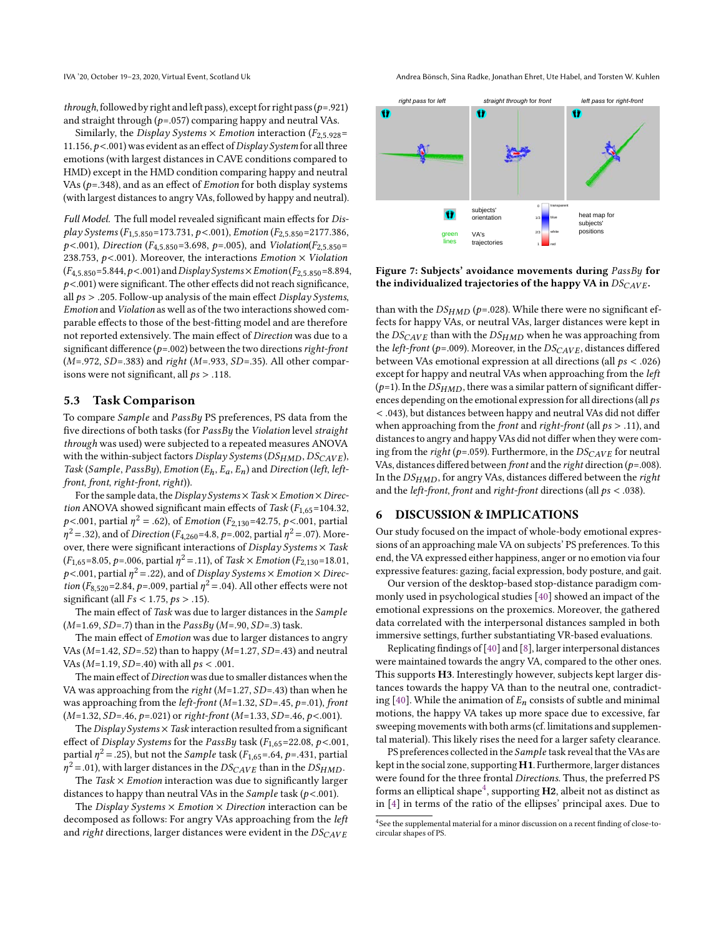*through*, followed by right and left pass), except for right pass ( $p = .921$ ) and straight through  $(p=.057)$  comparing happy and neutral VAs.

Similarly, the Display Systems  $\times$  Emotion interaction ( $F_{2,5,928}$ = 11.156,  $p$ <.001) was evident as an effect of Display System for all three emotions (with largest distances in CAVE conditions compared to HMD) except in the HMD condition comparing happy and neutral VAs ( $p = .348$ ), and as an effect of *Emotion* for both display systems (with largest distances to angry VAs, followed by happy and neutral).

Full Model. The full model revealed significant main effects for Display Systems ( $F_{1,5.850}$ =173.731, p <.001), Emotion ( $F_{2,5.850}$ =2177.386,  $p$ <.001), Direction (F<sub>4,5.850</sub>=3.698, p=.005), and Violation(F<sub>2,5.850</sub>= 238.753,  $p$ <.001). Moreover, the interactions *Emotion*  $\times$  *Violation*  $(F_{4.5.850} = 5.844, p < .001)$  and  $DisplaySystems \times Emotion$   $(F_{2.5.850} = 8.894,$  $p$ <.001) were significant. The other effects did not reach significance, all  $ps > .205$ . Follow-up analysis of the main effect Display Systems, Emotion and Violation as well as of the two interactions showed comparable effects to those of the best-fitting model and are therefore not reported extensively. The main effect of Direction was due to a significant difference ( $p = .002$ ) between the two directions right-front  $(M=972, SD=383)$  and right  $(M=933, SD=35)$ . All other comparisons were not significant, all  $ps > .118$ .

#### 5.3 Task Comparison

To compare *Sample* and *PassBy* PS preferences, PS data from the five directions of both tasks (for  $PassBy$  the Violation level straight through was used) were subjected to a repeated measures ANOVA with the within-subject factors Display Systems ( $DS<sub>HMD</sub>, DS<sub>CAVE</sub>$ ), Task (Sample, PassBy), Emotion ( $E_h$ ,  $E_a$ ,  $E_n$ ) and Direction (left, leftfront, front, right-front, right)).

For the sample data, the Display Systems  $\times$  Task  $\times$  Emotion  $\times$  Direction ANOVA showed significant main effects of Task ( $F_{1,65}$ =104.32, p<.001, partial  $\eta^2 =$  .62), of *Emotion* ( $F_{2,130}$ =42.75, p<.001, partial  $\eta^2$  = .32), and of *Direction* (*F*<sub>4,260</sub>=4.8, *p*=.002, partial  $\eta^2$  = .07). Moreover, there were significant interactions of  $Display$  Systems  $\times$  Task  $(F_{1,65}=8.05, p=.006,$  partial  $\eta^2=.11$ ), of Task  $\times$  Emotion ( $F_{2,130}=18.01,$  $p$ <.001, partial  $\eta^2$  = .22), and of Display Systems  $\times$  Emotion  $\times$  Direc*tion* ( $F_{8,520}$ =2.84,  $p$ =.009, partial  $\eta^2$  = .04). All other effects were not significant (all  $Fs < 1.75, ps > .15$ ).

The main effect of Task was due to larger distances in the Sample  $(M=1.69, SD=.7)$  than in the  $PassBy (M=.90, SD=.3)$  task.

The main effect of Emotion was due to larger distances to angry VAs ( $M=1.42$ ,  $SD=52$ ) than to happy ( $M=1.27$ ,  $SD=.43$ ) and neutral VAs ( $M=1.19$ ,  $SD=.40$ ) with all  $ps < .001$ .

The main effect of Direction was due to smaller distances when the VA was approaching from the right ( $M=1.27$ ,  $SD=.43$ ) than when he was approaching from the *left-front* ( $M=1.32$ ,  $SD=.45$ ,  $p=.01$ ), front  $(M=1.32, SD=.46, p=.021)$  or right-front  $(M=1.33, SD=.46, p<.001)$ .

The Display Systems  $\times$  Task interaction resulted from a significant effect of Display Systems for the PassBy task ( $F_{1,65}=22.08$ ,  $p<.001$ , partial  $\eta^2$  = .25), but not the *Sample* task ( $F_{1,65}$  = .64,  $p$  = .431, partial  $\eta^2$  = .01), with larger distances in the  $DS_{CAVE}$  than in the  $DS_{HMD}$ .

The  $Task \times Emotion$  interaction was due to significantly larger distances to happy than neutral VAs in the  $Sample$  task ( $p < .001$ ).

The Display Systems  $\times$  Emotion  $\times$  Direction interaction can be decomposed as follows: For angry VAs approaching from the left and right directions, larger distances were evident in the  $DS_{CAVE}$ 

IVA '20, October 19-23, 2020, Virtual Event, Scotland Uk Andrea Bönsch, Sina Radke, Jonathan Ehret, Ute Habel, and Torsten W. Kuhlen

<span id="page-5-1"></span>

Figure 7: Subjects' avoidance movements during PassBy for the individualized trajectories of the happy VA in  $DS_{CAVE}$ .

than with the  $DS_{HMD}$  (p=.028). While there were no significant effects for happy VAs, or neutral VAs, larger distances were kept in the  $DS_{CAVE}$  than with the  $DS_{HMD}$  when he was approaching from the *left-front* ( $p = .009$ ). Moreover, in the  $DS_{CAVE}$ , distances differed between VAs emotional expression at all directions (all  $ps < .026$ ) except for happy and neutral VAs when approaching from the left  $(p=1)$ . In the  $DS<sub>HMD</sub>$ , there was a similar pattern of significant differences depending on the emotional expression for all directions (all  $ps$ < .043), but distances between happy and neutral VAs did not differ when approaching from the *front* and *right-front* (all  $ps > .11$ ), and distances to angry and happy VAs did not differ when they were coming from the right ( $p=0.059$ ). Furthermore, in the  $DS_{CAVE}$  for neutral VAs, distances differed between front and the right direction ( $p = .008$ ). In the  $DS_{HMD}$ , for angry VAs, distances differed between the right and the *left-front*, *front* and *right-front* directions (all  $ps < .038$ ).

## 6 DISCUSSION & IMPLICATIONS

Our study focused on the impact of whole-body emotional expressions of an approaching male VA on subjects' PS preferences. To this end, the VA expressed either happiness, anger or no emotion via four expressive features: gazing, facial expression, body posture, and gait.

Our version of the desktop-based stop-distance paradigm commonly used in psychological studies [\[40\]](#page-7-8) showed an impact of the emotional expressions on the proxemics. Moreover, the gathered data correlated with the interpersonal distances sampled in both immersive settings, further substantiating VR-based evaluations.

Replicating findings of [\[40\]](#page-7-8) and [\[8\]](#page-7-6), larger interpersonal distances were maintained towards the angry VA, compared to the other ones. This supports H3. Interestingly however, subjects kept larger distances towards the happy VA than to the neutral one, contradict-ing [\[40\]](#page-7-8). While the animation of  $E_n$  consists of subtle and minimal motions, the happy VA takes up more space due to excessive, far sweeping movements with both arms (cf. limitations and supplemental material). This likely rises the need for a larger safety clearance.

PS preferences collected in the Sample task reveal that the VAs are kept in the social zone, supporting H1. Furthermore, larger distances were found for the three frontal Directions. Thus, the preferred PS forms an elliptical shape $^4$  $^4$ , supporting **H2**, albeit not as distinct as in [\[4\]](#page-7-10) in terms of the ratio of the ellipses' principal axes. Due to

<span id="page-5-0"></span><sup>&</sup>lt;sup>4</sup>See the supplemental material for a minor discussion on a recent finding of close-tocircular shapes of PS.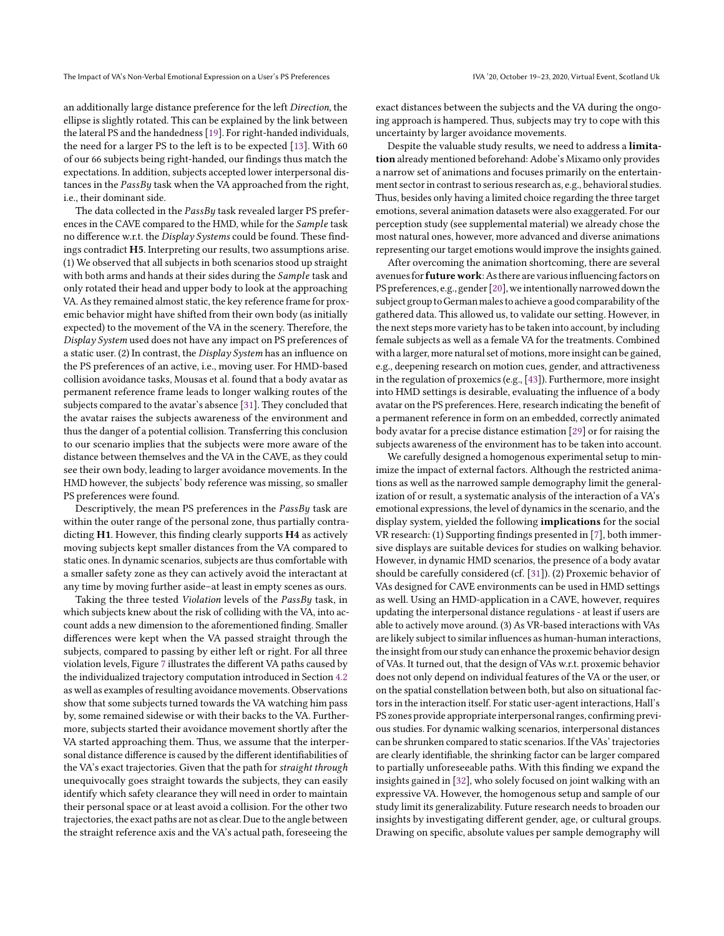an additionally large distance preference for the left Direction, the ellipse is slightly rotated. This can be explained by the link between the lateral PS and the handedness [\[19\]](#page-7-41). For right-handed individuals, the need for a larger PS to the left is to be expected [\[13\]](#page-7-3). With 60 of our 66 subjects being right-handed, our findings thus match the expectations. In addition, subjects accepted lower interpersonal distances in the  $PassBy$  task when the VA approached from the right, i.e., their dominant side.

The data collected in the PassBy task revealed larger PS preferences in the CAVE compared to the HMD, while for the *Sample* task no difference w.r.t. the Display Systems could be found. These findings contradict H5. Interpreting our results, two assumptions arise. (1) We observed that all subjects in both scenarios stood up straight with both arms and hands at their sides during the Sample task and only rotated their head and upper body to look at the approaching VA. As they remained almost static, the key reference frame for proxemic behavior might have shifted from their own body (as initially expected) to the movement of the VA in the scenery. Therefore, the Display System used does not have any impact on PS preferences of a static user. (2) In contrast, the Display System has an influence on the PS preferences of an active, i.e., moving user. For HMD-based collision avoidance tasks, Mousas et al. found that a body avatar as permanent reference frame leads to longer walking routes of the subjects compared to the avatar's absence [\[31\]](#page-7-21). They concluded that the avatar raises the subjects awareness of the environment and thus the danger of a potential collision. Transferring this conclusion to our scenario implies that the subjects were more aware of the distance between themselves and the VA in the CAVE, as they could see their own body, leading to larger avoidance movements. In the HMD however, the subjects' body reference was missing, so smaller PS preferences were found.

Descriptively, the mean PS preferences in the  $PassBy$  task are within the outer range of the personal zone, thus partially contradicting H1. However, this finding clearly supports H4 as actively moving subjects kept smaller distances from the VA compared to static ones. In dynamic scenarios, subjects are thus comfortable with a smaller safety zone as they can actively avoid the interactant at any time by moving further aside–at least in empty scenes as ours.

Taking the three tested Violation levels of the PassBy task, in which subjects knew about the risk of colliding with the VA, into account adds a new dimension to the aforementioned finding. Smaller differences were kept when the VA passed straight through the subjects, compared to passing by either left or right. For all three violation levels, Figure [7](#page-5-1) illustrates the different VA paths caused by the individualized trajectory computation introduced in Section [4.2](#page-2-3) as well as examples of resulting avoidance movements. Observations show that some subjects turned towards the VA watching him pass by, some remained sidewise or with their backs to the VA. Furthermore, subjects started their avoidance movement shortly after the VA started approaching them. Thus, we assume that the interpersonal distance difference is caused by the different identifiabilities of the VA's exact trajectories. Given that the path for straight through unequivocally goes straight towards the subjects, they can easily identify which safety clearance they will need in order to maintain their personal space or at least avoid a collision. For the other two trajectories, the exact paths are not as clear. Due to the angle between the straight reference axis and the VA's actual path, foreseeing the

exact distances between the subjects and the VA during the ongoing approach is hampered. Thus, subjects may try to cope with this uncertainty by larger avoidance movements.

Despite the valuable study results, we need to address a limitation already mentioned beforehand: Adobe's Mixamo only provides a narrow set of animations and focuses primarily on the entertainment sector in contrast to serious research as, e.g., behavioral studies. Thus, besides only having a limited choice regarding the three target emotions, several animation datasets were also exaggerated. For our perception study (see supplemental material) we already chose the most natural ones, however, more advanced and diverse animations representing our target emotions would improve the insights gained.

After overcoming the animation shortcoming, there are several avenues for  $\operatorname{future}$  work: As there are various influencing factors on PS preferences, e.g., gender [\[20\]](#page-7-7), weintentionally narrowed down the subject group to German males to achieve a good comparability of the gathered data. This allowed us, to validate our setting. However, in the next steps more variety has to be taken into account, by including female subjects as well as a female VA for the treatments. Combined with a larger, more natural set of motions, more insight can be gained, e.g., deepening research on motion cues, gender, and attractiveness in the regulation of proxemics (e.g., [\[43\]](#page-7-42)). Furthermore, more insight into HMD settings is desirable, evaluating the influence of a body avatar on the PS preferences. Here, research indicating the benefit of a permanent reference in form on an embedded, correctly animated body avatar for a precise distance estimation [\[29\]](#page-7-43) or for raising the subjects awareness of the environment has to be taken into account.

We carefully designed a homogenous experimental setup to minimize the impact of external factors. Although the restricted animations as well as the narrowed sample demography limit the generalization of or result, a systematic analysis of the interaction of a VA's emotional expressions, the level of dynamics in the scenario, and the display system, yielded the following implications for the social VR research: (1) Supporting findings presented in [\[7\]](#page-7-19), both immersive displays are suitable devices for studies on walking behavior. However, in dynamic HMD scenarios, the presence of a body avatar should be carefully considered (cf. [\[31\]](#page-7-21)). (2) Proxemic behavior of VAs designed for CAVE environments can be used in HMD settings as well. Using an HMD-application in a CAVE, however, requires updating the interpersonal distance regulations - at least if users are able to actively move around. (3) As VR-based interactions with VAs are likely subject to similar influences as human-human interactions, the insight from our study can enhance the proxemic behavior design of VAs. It turned out, that the design of VAs w.r.t. proxemic behavior does not only depend on individual features of the VA or the user, or on the spatial constellation between both, but also on situational factors in the interaction itself. For static user-agent interactions, Hall's PS zones provide appropriate interpersonal ranges, confirming previous studies. For dynamic walking scenarios, interpersonal distances can be shrunken compared to static scenarios. If the VAs' trajectories are clearly identifiable, the shrinking factor can be larger compared to partially unforeseeable paths. With this finding we expand the insights gained in [\[32\]](#page-7-29), who solely focused on joint walking with an expressive VA. However, the homogenous setup and sample of our study limit its generalizability. Future research needs to broaden our insights by investigating different gender, age, or cultural groups. Drawing on specific, absolute values per sample demography will